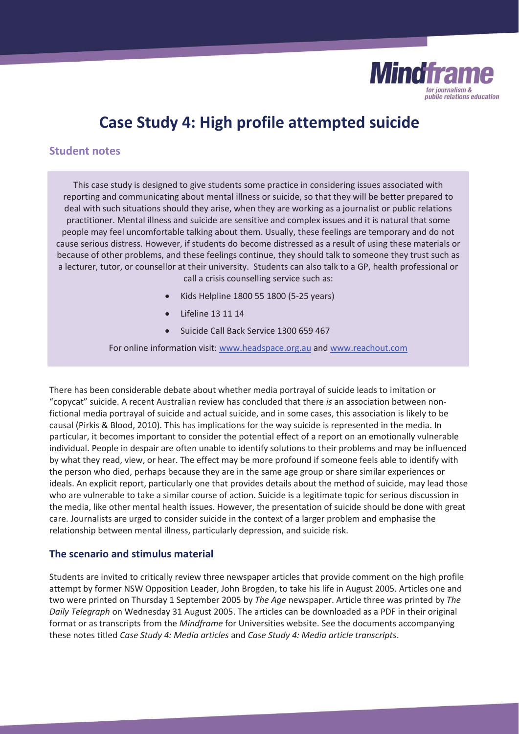

# **Case Study 4: High profile attempted suicide**

### **Student notes**

This case study is designed to give students some practice in considering issues associated with reporting and communicating about mental illness or suicide, so that they will be better prepared to deal with such situations should they arise, when they are working as a journalist or public relations practitioner. Mental illness and suicide are sensitive and complex issues and it is natural that some people may feel uncomfortable talking about them. Usually, these feelings are temporary and do not cause serious distress. However, if students do become distressed as a result of using these materials or because of other problems, and these feelings continue, they should talk to someone they trust such as a lecturer, tutor, or counsellor at their university. Students can also talk to a GP, health professional or call a crisis counselling service such as:

- x Kids Helpline 1800 55 1800 (5-25 years)
- x Lifeline 13 11 14
- Suicide Call Back Service 1300 659 467

For online information visit: www.headspace.org.au and www.reachout.com

There has been considerable debate about whether media portrayal of suicide leads to imitation or "copycat" suicide. A recent Australian review has concluded that there *is* an association between nonfictional media portrayal of suicide and actual suicide, and in some cases, this association is likely to be causal (Pirkis & Blood, 2010)*.* This has implications for the way suicide is represented in the media. In particular, it becomes important to consider the potential effect of a report on an emotionally vulnerable individual. People in despair are often unable to identify solutions to their problems and may be influenced by what they read, view, or hear. The effect may be more profound if someone feels able to identify with the person who died, perhaps because they are in the same age group or share similar experiences or ideals. An explicit report, particularly one that provides details about the method of suicide, may lead those who are vulnerable to take a similar course of action. Suicide is a legitimate topic for serious discussion in the media, like other mental health issues. However, the presentation of suicide should be done with great care. Journalists are urged to consider suicide in the context of a larger problem and emphasise the relationship between mental illness, particularly depression, and suicide risk.

#### **The scenario and stimulus material**

Students are invited to critically review three newspaper articles that provide comment on the high profile attempt by former NSW Opposition Leader, John Brogden, to take his life in August 2005. Articles one and two were printed on Thursday 1 September 2005 by *The Age* newspaper. Article three was printed by *The Daily Telegraph* on Wednesday 31 August 2005. The articles can be downloaded as a PDF in their original format or as transcripts from the *Mindframe* for Universities website. See the documents accompanying these notes titled *Case Study 4: Media articles* and *Case Study 4: Media article transcripts*.